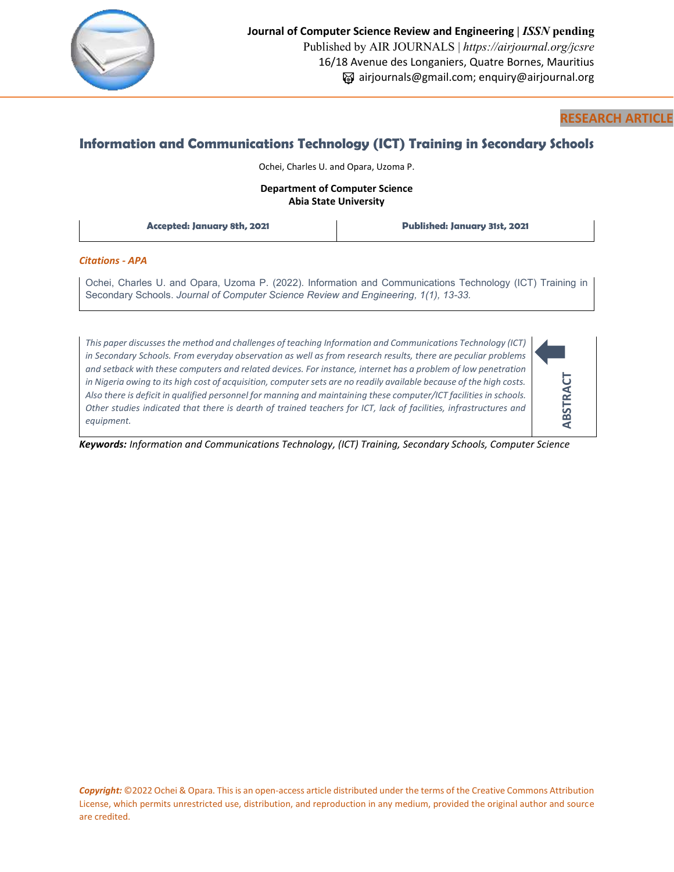

# **RESEARCH ARTICLE**

# **Information and Communications Technology (ICT) Training in Secondary Schools**

Ochei, Charles U. and Opara, Uzoma P.

# **Department of Computer Science Abia State University**

**Accepted: January 8th, 2021 Published: January 31st, 2021**

### *Citations - APA*

Ochei, Charles U. and Opara, Uzoma P. (2022). Information and Communications Technology (ICT) Training in Secondary Schools. *Journal of Computer Science Review and Engineering, 1(1), 13-33.*

*This paper discusses the method and challenges of teaching Information and Communications Technology (ICT) in Secondary Schools. From everyday observation as well as from research results, there are peculiar problems and setback with these computers and related devices. For instance, internet has a problem of low penetration in Nigeria owing to its high cost of acquisition, computer sets are no readily available because of the high costs. Also there is deficit in qualified personnel for manning and maintaining these computer/ICT facilities in schools. Other studies indicated that there is dearth of trained teachers for ICT, lack of facilities, infrastructures and equipment.*



*Keywords: Information and Communications Technology, (ICT) Training, Secondary Schools, Computer Science*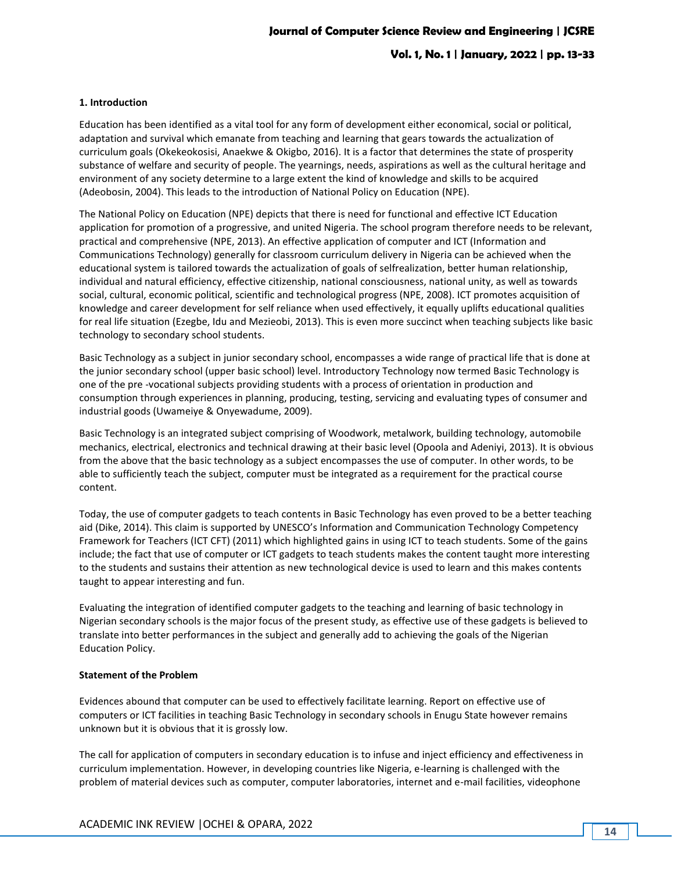#### **1. Introduction**

Education has been identified as a vital tool for any form of development either economical, social or political, adaptation and survival which emanate from teaching and learning that gears towards the actualization of curriculum goals (Okekeokosisi, Anaekwe & Okigbo, 2016). It is a factor that determines the state of prosperity substance of welfare and security of people. The yearnings, needs, aspirations as well as the cultural heritage and environment of any society determine to a large extent the kind of knowledge and skills to be acquired (Adeobosin, 2004). This leads to the introduction of National Policy on Education (NPE).

The National Policy on Education (NPE) depicts that there is need for functional and effective ICT Education application for promotion of a progressive, and united Nigeria. The school program therefore needs to be relevant, practical and comprehensive (NPE, 2013). An effective application of computer and ICT (Information and Communications Technology) generally for classroom curriculum delivery in Nigeria can be achieved when the educational system is tailored towards the actualization of goals of selfrealization, better human relationship, individual and natural efficiency, effective citizenship, national consciousness, national unity, as well as towards social, cultural, economic political, scientific and technological progress (NPE, 2008). ICT promotes acquisition of knowledge and career development for self reliance when used effectively, it equally uplifts educational qualities for real life situation (Ezegbe, Idu and Mezieobi, 2013). This is even more succinct when teaching subjects like basic technology to secondary school students.

Basic Technology as a subject in junior secondary school, encompasses a wide range of practical life that is done at the junior secondary school (upper basic school) level. Introductory Technology now termed Basic Technology is one of the pre -vocational subjects providing students with a process of orientation in production and consumption through experiences in planning, producing, testing, servicing and evaluating types of consumer and industrial goods (Uwameiye & Onyewadume, 2009).

Basic Technology is an integrated subject comprising of Woodwork, metalwork, building technology, automobile mechanics, electrical, electronics and technical drawing at their basic level (Opoola and Adeniyi, 2013). It is obvious from the above that the basic technology as a subject encompasses the use of computer. In other words, to be able to sufficiently teach the subject, computer must be integrated as a requirement for the practical course content.

Today, the use of computer gadgets to teach contents in Basic Technology has even proved to be a better teaching aid (Dike, 2014). This claim is supported by UNESCO's Information and Communication Technology Competency Framework for Teachers (ICT CFT) (2011) which highlighted gains in using ICT to teach students. Some of the gains include; the fact that use of computer or ICT gadgets to teach students makes the content taught more interesting to the students and sustains their attention as new technological device is used to learn and this makes contents taught to appear interesting and fun.

Evaluating the integration of identified computer gadgets to the teaching and learning of basic technology in Nigerian secondary schools is the major focus of the present study, as effective use of these gadgets is believed to translate into better performances in the subject and generally add to achieving the goals of the Nigerian Education Policy.

### **Statement of the Problem**

Evidences abound that computer can be used to effectively facilitate learning. Report on effective use of computers or ICT facilities in teaching Basic Technology in secondary schools in Enugu State however remains unknown but it is obvious that it is grossly low.

The call for application of computers in secondary education is to infuse and inject efficiency and effectiveness in curriculum implementation. However, in developing countries like Nigeria, e-learning is challenged with the problem of material devices such as computer, computer laboratories, internet and e-mail facilities, videophone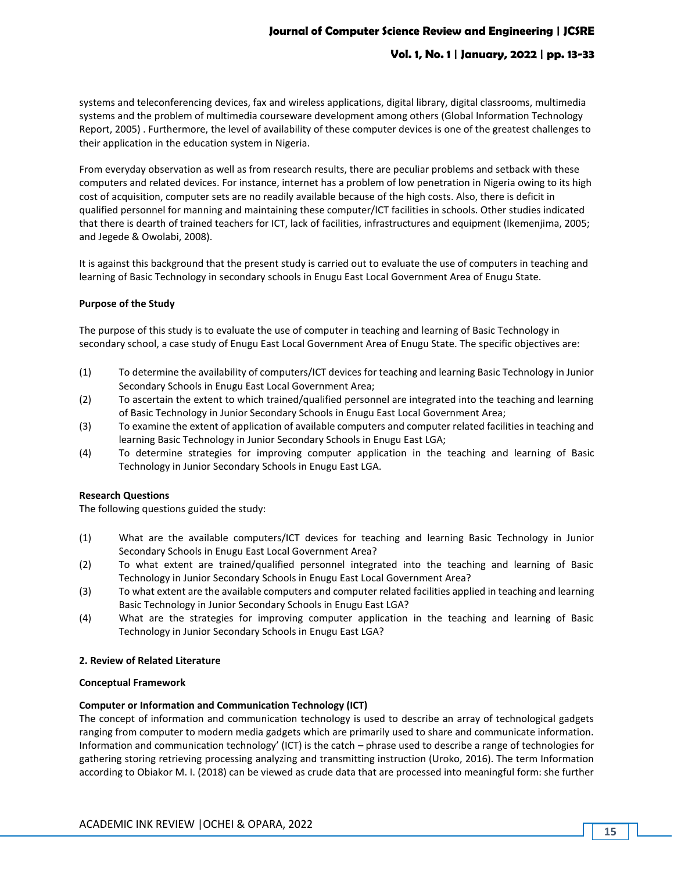# **Vol. 1, No. 1 | January, 2022 | pp. 13-33**

systems and teleconferencing devices, fax and wireless applications, digital library, digital classrooms, multimedia systems and the problem of multimedia courseware development among others (Global Information Technology Report, 2005) . Furthermore, the level of availability of these computer devices is one of the greatest challenges to their application in the education system in Nigeria.

From everyday observation as well as from research results, there are peculiar problems and setback with these computers and related devices. For instance, internet has a problem of low penetration in Nigeria owing to its high cost of acquisition, computer sets are no readily available because of the high costs. Also, there is deficit in qualified personnel for manning and maintaining these computer/ICT facilities in schools. Other studies indicated that there is dearth of trained teachers for ICT, lack of facilities, infrastructures and equipment (Ikemenjima, 2005; and Jegede & Owolabi, 2008).

It is against this background that the present study is carried out to evaluate the use of computers in teaching and learning of Basic Technology in secondary schools in Enugu East Local Government Area of Enugu State.

### **Purpose of the Study**

The purpose of this study is to evaluate the use of computer in teaching and learning of Basic Technology in secondary school, a case study of Enugu East Local Government Area of Enugu State. The specific objectives are:

- (1) To determine the availability of computers/ICT devices for teaching and learning Basic Technology in Junior Secondary Schools in Enugu East Local Government Area;
- (2) To ascertain the extent to which trained/qualified personnel are integrated into the teaching and learning of Basic Technology in Junior Secondary Schools in Enugu East Local Government Area;
- (3) To examine the extent of application of available computers and computer related facilities in teaching and learning Basic Technology in Junior Secondary Schools in Enugu East LGA;
- (4) To determine strategies for improving computer application in the teaching and learning of Basic Technology in Junior Secondary Schools in Enugu East LGA.

### **Research Questions**

The following questions guided the study:

- (1) What are the available computers/ICT devices for teaching and learning Basic Technology in Junior Secondary Schools in Enugu East Local Government Area?
- (2) To what extent are trained/qualified personnel integrated into the teaching and learning of Basic Technology in Junior Secondary Schools in Enugu East Local Government Area?
- (3) To what extent are the available computers and computer related facilities applied in teaching and learning Basic Technology in Junior Secondary Schools in Enugu East LGA?
- (4) What are the strategies for improving computer application in the teaching and learning of Basic Technology in Junior Secondary Schools in Enugu East LGA?

#### **2. Review of Related Literature**

#### **Conceptual Framework**

#### **Computer or Information and Communication Technology (ICT)**

The concept of information and communication technology is used to describe an array of technological gadgets ranging from computer to modern media gadgets which are primarily used to share and communicate information. Information and communication technology' (ICT) is the catch – phrase used to describe a range of technologies for gathering storing retrieving processing analyzing and transmitting instruction (Uroko, 2016). The term Information according to Obiakor M. I. (2018) can be viewed as crude data that are processed into meaningful form: she further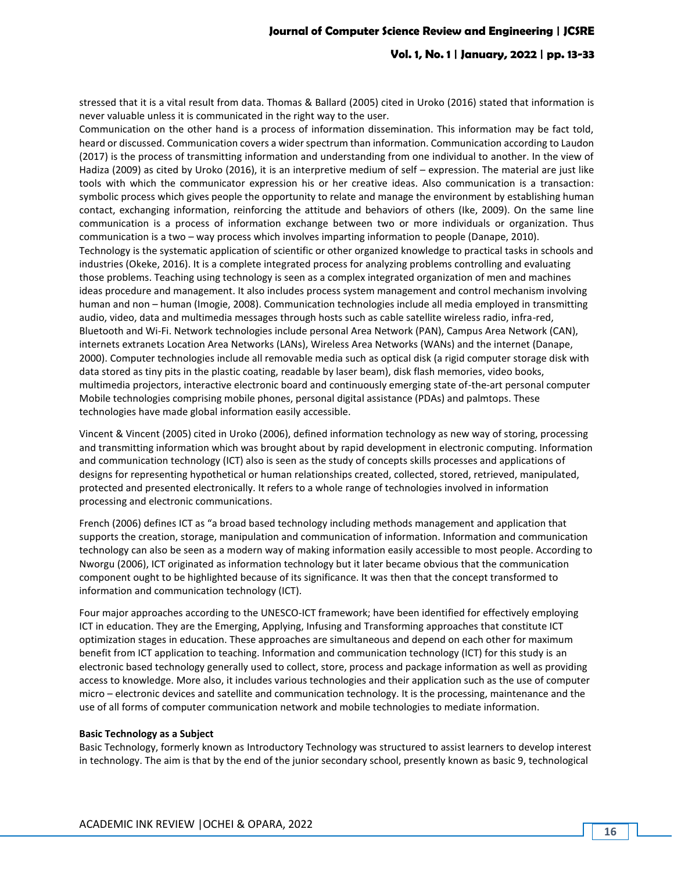### **Vol. 1, No. 1 | January, 2022 | pp. 13-33**

stressed that it is a vital result from data. Thomas & Ballard (2005) cited in Uroko (2016) stated that information is never valuable unless it is communicated in the right way to the user.

Communication on the other hand is a process of information dissemination. This information may be fact told, heard or discussed. Communication covers a wider spectrum than information. Communication according to Laudon (2017) is the process of transmitting information and understanding from one individual to another. In the view of Hadiza (2009) as cited by Uroko (2016), it is an interpretive medium of self – expression. The material are just like tools with which the communicator expression his or her creative ideas. Also communication is a transaction: symbolic process which gives people the opportunity to relate and manage the environment by establishing human contact, exchanging information, reinforcing the attitude and behaviors of others (Ike, 2009). On the same line communication is a process of information exchange between two or more individuals or organization. Thus communication is a two – way process which involves imparting information to people (Danape, 2010). Technology is the systematic application of scientific or other organized knowledge to practical tasks in schools and industries (Okeke, 2016). It is a complete integrated process for analyzing problems controlling and evaluating those problems. Teaching using technology is seen as a complex integrated organization of men and machines ideas procedure and management. It also includes process system management and control mechanism involving human and non – human (Imogie, 2008). Communication technologies include all media employed in transmitting audio, video, data and multimedia messages through hosts such as cable satellite wireless radio, infra-red, Bluetooth and Wi-Fi. Network technologies include personal Area Network (PAN), Campus Area Network (CAN), internets extranets Location Area Networks (LANs), Wireless Area Networks (WANs) and the internet (Danape, 2000). Computer technologies include all removable media such as optical disk (a rigid computer storage disk with data stored as tiny pits in the plastic coating, readable by laser beam), disk flash memories, video books, multimedia projectors, interactive electronic board and continuously emerging state of-the-art personal computer Mobile technologies comprising mobile phones, personal digital assistance (PDAs) and palmtops. These technologies have made global information easily accessible.

Vincent & Vincent (2005) cited in Uroko (2006), defined information technology as new way of storing, processing and transmitting information which was brought about by rapid development in electronic computing. Information and communication technology (ICT) also is seen as the study of concepts skills processes and applications of designs for representing hypothetical or human relationships created, collected, stored, retrieved, manipulated, protected and presented electronically. It refers to a whole range of technologies involved in information processing and electronic communications.

French (2006) defines ICT as "a broad based technology including methods management and application that supports the creation, storage, manipulation and communication of information. Information and communication technology can also be seen as a modern way of making information easily accessible to most people. According to Nworgu (2006), ICT originated as information technology but it later became obvious that the communication component ought to be highlighted because of its significance. It was then that the concept transformed to information and communication technology (ICT).

Four major approaches according to the UNESCO-ICT framework; have been identified for effectively employing ICT in education. They are the Emerging, Applying, Infusing and Transforming approaches that constitute ICT optimization stages in education. These approaches are simultaneous and depend on each other for maximum benefit from ICT application to teaching. Information and communication technology (ICT) for this study is an electronic based technology generally used to collect, store, process and package information as well as providing access to knowledge. More also, it includes various technologies and their application such as the use of computer micro – electronic devices and satellite and communication technology. It is the processing, maintenance and the use of all forms of computer communication network and mobile technologies to mediate information.

#### **Basic Technology as a Subject**

Basic Technology, formerly known as Introductory Technology was structured to assist learners to develop interest in technology. The aim is that by the end of the junior secondary school, presently known as basic 9, technological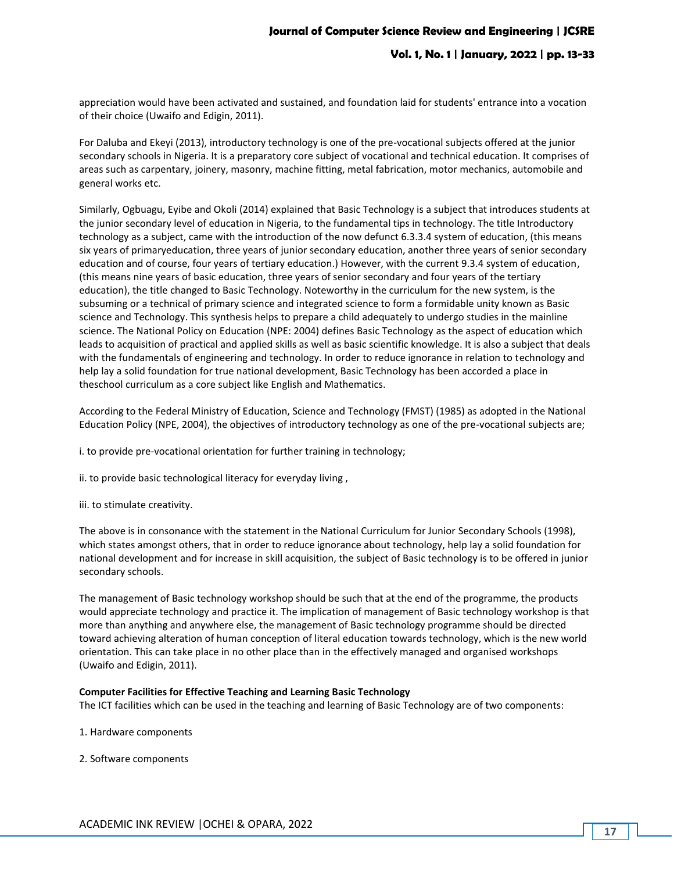appreciation would have been activated and sustained, and foundation laid for students' entrance into a vocation of their choice (Uwaifo and Edigin, 2011).

For Daluba and Ekeyi (2013), introductory technology is one of the pre-vocational subjects offered at the junior secondary schools in Nigeria. It is a preparatory core subject of vocational and technical education. It comprises of areas such as carpentary, joinery, masonry, machine fitting, metal fabrication, motor mechanics, automobile and general works etc.

Similarly, Ogbuagu, Eyibe and Okoli (2014) explained that Basic Technology is a subject that introduces students at the junior secondary level of education in Nigeria, to the fundamental tips in technology. The title Introductory technology as a subject, came with the introduction of the now defunct 6.3.3.4 system of education, (this means six years of primaryeducation, three years of junior secondary education, another three years of senior secondary education and of course, four years of tertiary education.) However, with the current 9.3.4 system of education, (this means nine years of basic education, three years of senior secondary and four years of the tertiary education), the title changed to Basic Technology. Noteworthy in the curriculum for the new system, is the subsuming or a technical of primary science and integrated science to form a formidable unity known as Basic science and Technology. This synthesis helps to prepare a child adequately to undergo studies in the mainline science. The National Policy on Education (NPE: 2004) defines Basic Technology as the aspect of education which leads to acquisition of practical and applied skills as well as basic scientific knowledge. It is also a subject that deals with the fundamentals of engineering and technology. In order to reduce ignorance in relation to technology and help lay a solid foundation for true national development, Basic Technology has been accorded a place in theschool curriculum as a core subject like English and Mathematics.

According to the Federal Ministry of Education, Science and Technology (FMST) (1985) as adopted in the National Education Policy (NPE, 2004), the objectives of introductory technology as one of the pre-vocational subjects are;

i. to provide pre-vocational orientation for further training in technology;

ii. to provide basic technological literacy for everyday living ,

iii. to stimulate creativity.

The above is in consonance with the statement in the National Curriculum for Junior Secondary Schools (1998), which states amongst others, that in order to reduce ignorance about technology, help lay a solid foundation for national development and for increase in skill acquisition, the subject of Basic technology is to be offered in junior secondary schools.

The management of Basic technology workshop should be such that at the end of the programme, the products would appreciate technology and practice it. The implication of management of Basic technology workshop is that more than anything and anywhere else, the management of Basic technology programme should be directed toward achieving alteration of human conception of literal education towards technology, which is the new world orientation. This can take place in no other place than in the effectively managed and organised workshops (Uwaifo and Edigin, 2011).

#### **Computer Facilities for Effective Teaching and Learning Basic Technology**

The ICT facilities which can be used in the teaching and learning of Basic Technology are of two components:

- 1. Hardware components
- 2. Software components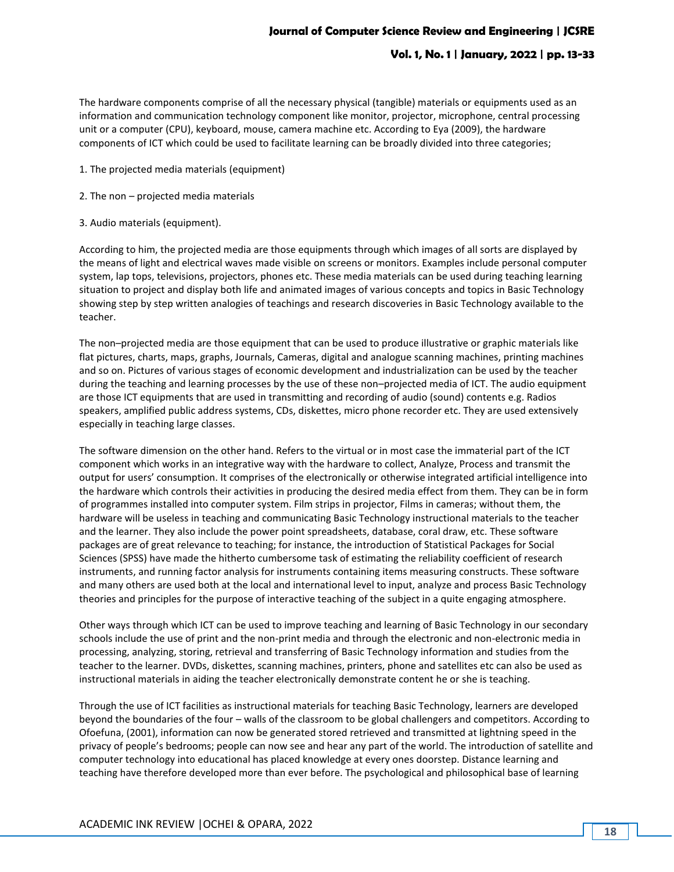The hardware components comprise of all the necessary physical (tangible) materials or equipments used as an information and communication technology component like monitor, projector, microphone, central processing unit or a computer (CPU), keyboard, mouse, camera machine etc. According to Eya (2009), the hardware components of ICT which could be used to facilitate learning can be broadly divided into three categories;

- 1. The projected media materials (equipment)
- 2. The non projected media materials
- 3. Audio materials (equipment).

According to him, the projected media are those equipments through which images of all sorts are displayed by the means of light and electrical waves made visible on screens or monitors. Examples include personal computer system, lap tops, televisions, projectors, phones etc. These media materials can be used during teaching learning situation to project and display both life and animated images of various concepts and topics in Basic Technology showing step by step written analogies of teachings and research discoveries in Basic Technology available to the teacher.

The non–projected media are those equipment that can be used to produce illustrative or graphic materials like flat pictures, charts, maps, graphs, Journals, Cameras, digital and analogue scanning machines, printing machines and so on. Pictures of various stages of economic development and industrialization can be used by the teacher during the teaching and learning processes by the use of these non–projected media of ICT. The audio equipment are those ICT equipments that are used in transmitting and recording of audio (sound) contents e.g. Radios speakers, amplified public address systems, CDs, diskettes, micro phone recorder etc. They are used extensively especially in teaching large classes.

The software dimension on the other hand. Refers to the virtual or in most case the immaterial part of the ICT component which works in an integrative way with the hardware to collect, Analyze, Process and transmit the output for users' consumption. It comprises of the electronically or otherwise integrated artificial intelligence into the hardware which controls their activities in producing the desired media effect from them. They can be in form of programmes installed into computer system. Film strips in projector, Films in cameras; without them, the hardware will be useless in teaching and communicating Basic Technology instructional materials to the teacher and the learner. They also include the power point spreadsheets, database, coral draw, etc. These software packages are of great relevance to teaching; for instance, the introduction of Statistical Packages for Social Sciences (SPSS) have made the hitherto cumbersome task of estimating the reliability coefficient of research instruments, and running factor analysis for instruments containing items measuring constructs. These software and many others are used both at the local and international level to input, analyze and process Basic Technology theories and principles for the purpose of interactive teaching of the subject in a quite engaging atmosphere.

Other ways through which ICT can be used to improve teaching and learning of Basic Technology in our secondary schools include the use of print and the non-print media and through the electronic and non-electronic media in processing, analyzing, storing, retrieval and transferring of Basic Technology information and studies from the teacher to the learner. DVDs, diskettes, scanning machines, printers, phone and satellites etc can also be used as instructional materials in aiding the teacher electronically demonstrate content he or she is teaching.

Through the use of ICT facilities as instructional materials for teaching Basic Technology, learners are developed beyond the boundaries of the four – walls of the classroom to be global challengers and competitors. According to Ofoefuna, (2001), information can now be generated stored retrieved and transmitted at lightning speed in the privacy of people's bedrooms; people can now see and hear any part of the world. The introduction of satellite and computer technology into educational has placed knowledge at every ones doorstep. Distance learning and teaching have therefore developed more than ever before. The psychological and philosophical base of learning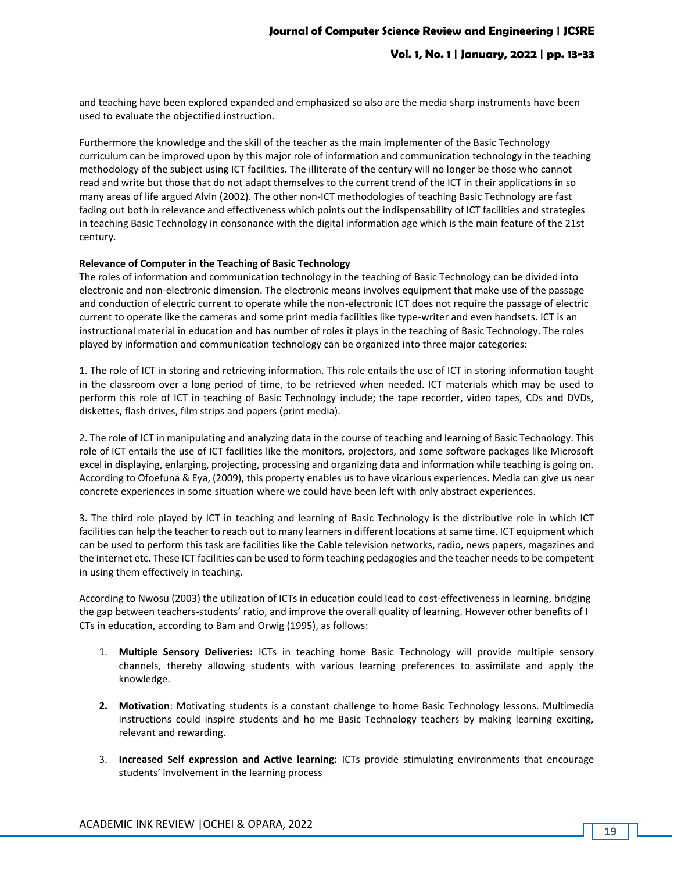and teaching have been explored expanded and emphasized so also are the media sharp instruments have been used to evaluate the objectified instruction.

Furthermore the knowledge and the skill of the teacher as the main implementer of the Basic Technology curriculum can be improved upon by this major role of information and communication technology in the teaching methodology of the subject using ICT facilities. The illiterate of the century will no longer be those who cannot read and write but those that do not adapt themselves to the current trend of the ICT in their applications in so many areas of life argued Alvin (2002). The other non-ICT methodologies of teaching Basic Technology are fast fading out both in relevance and effectiveness which points out the indispensability of ICT facilities and strategies in teaching Basic Technology in consonance with the digital information age which is the main feature of the 21st century.

#### **Relevance of Computer in the Teaching of Basic Technology**

The roles of information and communication technology in the teaching of Basic Technology can be divided into electronic and non-electronic dimension. The electronic means involves equipment that make use of the passage and conduction of electric current to operate while the non-electronic ICT does not require the passage of electric current to operate like the cameras and some print media facilities like type-writer and even handsets. ICT is an instructional material in education and has number of roles it plays in the teaching of Basic Technology. The roles played by information and communication technology can be organized into three major categories:

1. The role of ICT in storing and retrieving information. This role entails the use of ICT in storing information taught in the classroom over a long period of time, to be retrieved when needed. ICT materials which may be used to perform this role of ICT in teaching of Basic Technology include; the tape recorder, video tapes, CDs and DVDs, diskettes, flash drives, film strips and papers (print media).

2. The role of ICT in manipulating and analyzing data in the course of teaching and learning of Basic Technology. This role of ICT entails the use of ICT facilities like the monitors, projectors, and some software packages like Microsoft excel in displaying, enlarging, projecting, processing and organizing data and information while teaching is going on. According to Ofoefuna & Eya, (2009), this property enables us to have vicarious experiences. Media can give us near concrete experiences in some situation where we could have been left with only abstract experiences.

3. The third role played by ICT in teaching and learning of Basic Technology is the distributive role in which ICT facilities can help the teacher to reach out to many learners in different locations at same time. ICT equipment which can be used to perform this task are facilities like the Cable television networks, radio, news papers, magazines and the internet etc. These ICT facilities can be used to form teaching pedagogies and the teacher needs to be competent in using them effectively in teaching.

According to Nwosu (2003) the utilization of ICTs in education could lead to cost-effectiveness in learning, bridging the gap between teachers-students' ratio, and improve the overall quality of learning. However other benefits of I CTs in education, according to Bam and Orwig (1995), as follows:

- 1. **Multiple Sensory Deliveries:** ICTs in teaching home Basic Technology will provide multiple sensory channels, thereby allowing students with various learning preferences to assimilate and apply the knowledge.
- **2. Motivation**: Motivating students is a constant challenge to home Basic Technology lessons. Multimedia instructions could inspire students and ho me Basic Technology teachers by making learning exciting, relevant and rewarding.
- 3. **Increased Self expression and Active learning:** ICTs provide stimulating environments that encourage students' involvement in the learning process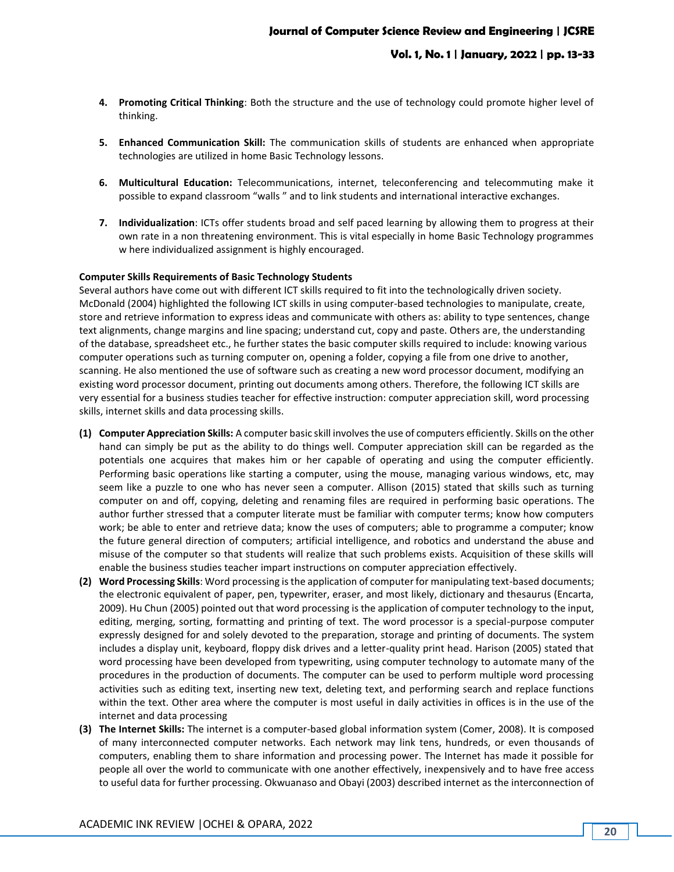- **4. Promoting Critical Thinking**: Both the structure and the use of technology could promote higher level of thinking.
- **5. Enhanced Communication Skill:** The communication skills of students are enhanced when appropriate technologies are utilized in home Basic Technology lessons.
- **6. Multicultural Education:** Telecommunications, internet, teleconferencing and telecommuting make it possible to expand classroom "walls " and to link students and international interactive exchanges.
- **7. Individualization**: ICTs offer students broad and self paced learning by allowing them to progress at their own rate in a non threatening environment. This is vital especially in home Basic Technology programmes w here individualized assignment is highly encouraged.

#### **Computer Skills Requirements of Basic Technology Students**

Several authors have come out with different ICT skills required to fit into the technologically driven society. McDonald (2004) highlighted the following ICT skills in using computer-based technologies to manipulate, create, store and retrieve information to express ideas and communicate with others as: ability to type sentences, change text alignments, change margins and line spacing; understand cut, copy and paste. Others are, the understanding of the database, spreadsheet etc., he further states the basic computer skills required to include: knowing various computer operations such as turning computer on, opening a folder, copying a file from one drive to another, scanning. He also mentioned the use of software such as creating a new word processor document, modifying an existing word processor document, printing out documents among others. Therefore, the following ICT skills are very essential for a business studies teacher for effective instruction: computer appreciation skill, word processing skills, internet skills and data processing skills.

- **(1) Computer Appreciation Skills:** A computer basic skill involves the use of computers efficiently. Skills on the other hand can simply be put as the ability to do things well. Computer appreciation skill can be regarded as the potentials one acquires that makes him or her capable of operating and using the computer efficiently. Performing basic operations like starting a computer, using the mouse, managing various windows, etc, may seem like a puzzle to one who has never seen a computer. Allison (2015) stated that skills such as turning computer on and off, copying, deleting and renaming files are required in performing basic operations. The author further stressed that a computer literate must be familiar with computer terms; know how computers work; be able to enter and retrieve data; know the uses of computers; able to programme a computer; know the future general direction of computers; artificial intelligence, and robotics and understand the abuse and misuse of the computer so that students will realize that such problems exists. Acquisition of these skills will enable the business studies teacher impart instructions on computer appreciation effectively.
- **(2) Word Processing Skills**: Word processing is the application of computer for manipulating text-based documents; the electronic equivalent of paper, pen, typewriter, eraser, and most likely, dictionary and thesaurus (Encarta, 2009). Hu Chun (2005) pointed out that word processing is the application of computer technology to the input, editing, merging, sorting, formatting and printing of text. The word processor is a special-purpose computer expressly designed for and solely devoted to the preparation, storage and printing of documents. The system includes a display unit, keyboard, floppy disk drives and a letter-quality print head. Harison (2005) stated that word processing have been developed from typewriting, using computer technology to automate many of the procedures in the production of documents. The computer can be used to perform multiple word processing activities such as editing text, inserting new text, deleting text, and performing search and replace functions within the text. Other area where the computer is most useful in daily activities in offices is in the use of the internet and data processing
- **(3) The Internet Skills:** The internet is a computer-based global information system (Comer, 2008). It is composed of many interconnected computer networks. Each network may link tens, hundreds, or even thousands of computers, enabling them to share information and processing power. The Internet has made it possible for people all over the world to communicate with one another effectively, inexpensively and to have free access to useful data for further processing. Okwuanaso and Obayi (2003) described internet as the interconnection of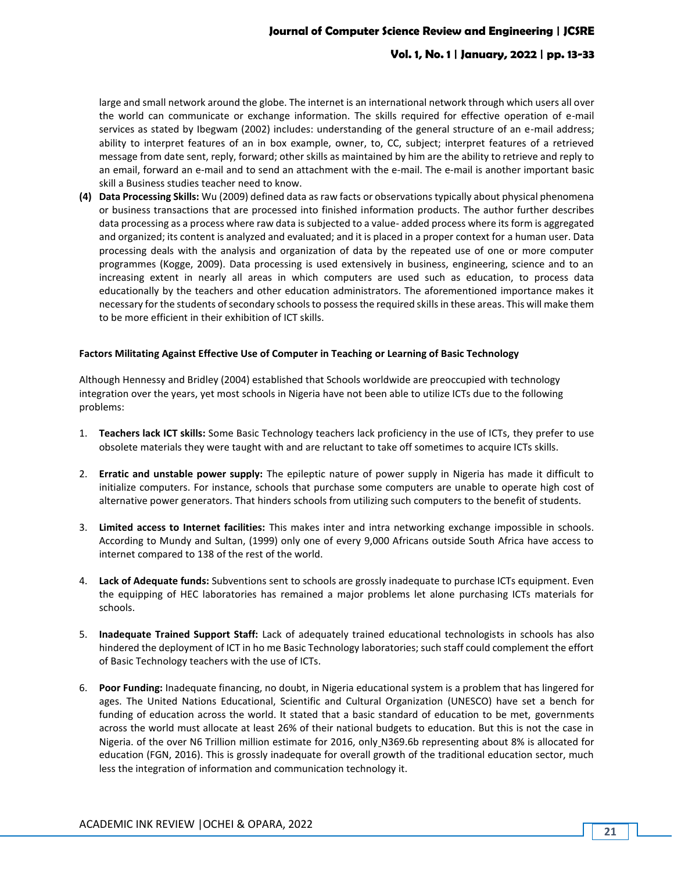# **Vol. 1, No. 1 | January, 2022 | pp. 13-33**

large and small network around the globe. The internet is an international network through which users all over the world can communicate or exchange information. The skills required for effective operation of e-mail services as stated by Ibegwam (2002) includes: understanding of the general structure of an e-mail address; ability to interpret features of an in box example, owner, to, CC, subject; interpret features of a retrieved message from date sent, reply, forward; other skills as maintained by him are the ability to retrieve and reply to an email, forward an e-mail and to send an attachment with the e-mail. The e-mail is another important basic skill a Business studies teacher need to know.

**(4) Data Processing Skills:** Wu (2009) defined data as raw facts or observations typically about physical phenomena or business transactions that are processed into finished information products. The author further describes data processing as a process where raw data is subjected to a value- added process where its form is aggregated and organized; its content is analyzed and evaluated; and it is placed in a proper context for a human user. Data processing deals with the analysis and organization of data by the repeated use of one or more computer programmes (Kogge, 2009). Data processing is used extensively in business, engineering, science and to an increasing extent in nearly all areas in which computers are used such as education, to process data educationally by the teachers and other education administrators. The aforementioned importance makes it necessary for the students of secondary schools to possess the required skills in these areas. This will make them to be more efficient in their exhibition of ICT skills.

### **Factors Militating Against Effective Use of Computer in Teaching or Learning of Basic Technology**

Although Hennessy and Bridley (2004) established that Schools worldwide are preoccupied with technology integration over the years, yet most schools in Nigeria have not been able to utilize ICTs due to the following problems:

- 1. **Teachers lack ICT skills:** Some Basic Technology teachers lack proficiency in the use of ICTs, they prefer to use obsolete materials they were taught with and are reluctant to take off sometimes to acquire ICTs skills.
- 2. **Erratic and unstable power supply:** The epileptic nature of power supply in Nigeria has made it difficult to initialize computers. For instance, schools that purchase some computers are unable to operate high cost of alternative power generators. That hinders schools from utilizing such computers to the benefit of students.
- 3. **Limited access to Internet facilities:** This makes inter and intra networking exchange impossible in schools. According to Mundy and Sultan, (1999) only one of every 9,000 Africans outside South Africa have access to internet compared to 138 of the rest of the world.
- 4. **Lack of Adequate funds:** Subventions sent to schools are grossly inadequate to purchase ICTs equipment. Even the equipping of HEC laboratories has remained a major problems let alone purchasing ICTs materials for schools.
- 5. **Inadequate Trained Support Staff:** Lack of adequately trained educational technologists in schools has also hindered the deployment of ICT in ho me Basic Technology laboratories; such staff could complement the effort of Basic Technology teachers with the use of ICTs.
- 6. **Poor Funding:** Inadequate financing, no doubt, in Nigeria educational system is a problem that has lingered for ages. The United Nations Educational, Scientific and Cultural Organization (UNESCO) have set a bench for funding of education across the world. It stated that a basic standard of education to be met, governments across the world must allocate at least 26% of their national budgets to education. But this is not the case in Nigeria. of the over N6 Trillion million estimate for 2016, only N369.6b representing about 8% is allocated for education (FGN, 2016). This is grossly inadequate for overall growth of the traditional education sector, much less the integration of information and communication technology it.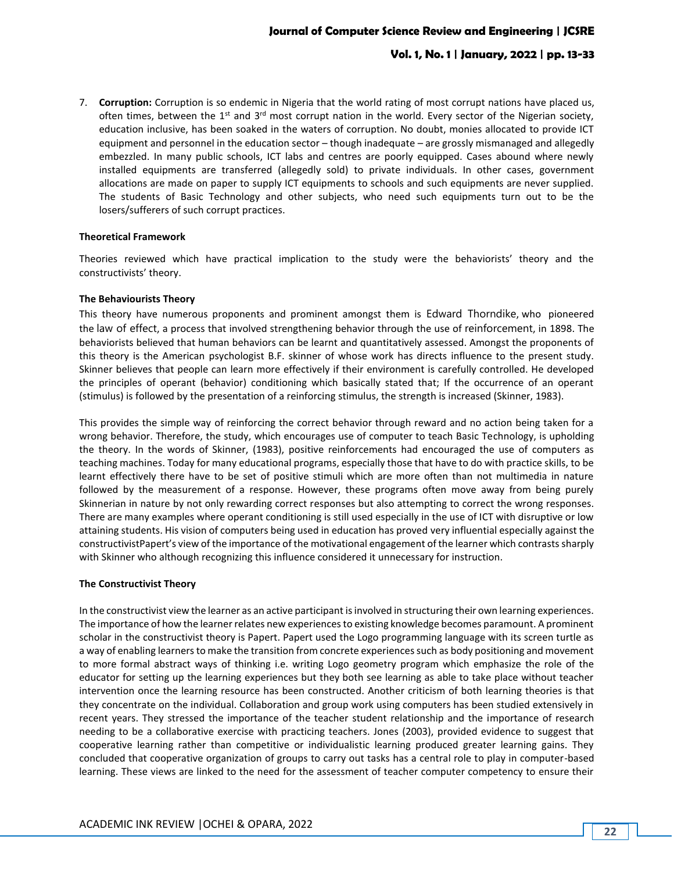# **Vol. 1, No. 1 | January, 2022 | pp. 13-33**

7. **Corruption:** Corruption is so endemic in Nigeria that the world rating of most corrupt nations have placed us, often times, between the  $1<sup>st</sup>$  and  $3<sup>rd</sup>$  most corrupt nation in the world. Every sector of the Nigerian society, education inclusive, has been soaked in the waters of corruption. No doubt, monies allocated to provide ICT equipment and personnel in the education sector – though inadequate – are grossly mismanaged and allegedly embezzled. In many public schools, ICT labs and centres are poorly equipped. Cases abound where newly installed equipments are transferred (allegedly sold) to private individuals. In other cases, government allocations are made on paper to supply ICT equipments to schools and such equipments are never supplied. The students of Basic Technology and other subjects, who need such equipments turn out to be the losers/sufferers of such corrupt practices.

#### **Theoretical Framework**

Theories reviewed which have practical implication to the study were the behaviorists' theory and the constructivists' theory.

#### **The Behaviourists Theory**

This theory have numerous proponents and prominent amongst them is [Edward Thorndike](https://en.wikipedia.org/wiki/Edward_Thorndike), who pioneered the [law of effect](https://en.wikipedia.org/wiki/Law_of_effect), a process that involved strengthening behavior through the use of [reinforcement](https://en.wikipedia.org/wiki/Reinforcement), in 1898. The behaviorists believed that human behaviors can be learnt and quantitatively assessed. Amongst the proponents of this theory is the American psychologist B.F. skinner of whose work has directs influence to the present study. Skinner believes that people can learn more effectively if their environment is carefully controlled. He developed the principles of operant (behavior) conditioning which basically stated that; If the occurrence of an operant (stimulus) is followed by the presentation of a reinforcing stimulus, the strength is increased (Skinner, 1983).

This provides the simple way of reinforcing the correct behavior through reward and no action being taken for a wrong behavior. Therefore, the study, which encourages use of computer to teach Basic Technology, is upholding the theory. In the words of Skinner, (1983), positive reinforcements had encouraged the use of computers as teaching machines. Today for many educational programs, especially those that have to do with practice skills, to be learnt effectively there have to be set of positive stimuli which are more often than not multimedia in nature followed by the measurement of a response. However, these programs often move away from being purely Skinnerian in nature by not only rewarding correct responses but also attempting to correct the wrong responses. There are many examples where operant conditioning is still used especially in the use of ICT with disruptive or low attaining students. His vision of computers being used in education has proved very influential especially against the constructivistPapert's view of the importance of the motivational engagement of the learner which contrasts sharply with Skinner who although recognizing this influence considered it unnecessary for instruction.

#### **The Constructivist Theory**

In the constructivist view the learner as an active participant is involved in structuring their own learning experiences. The importance of how the learner relates new experiences to existing knowledge becomes paramount. A prominent scholar in the constructivist theory is Papert. Papert used the Logo programming language with its screen turtle as a way of enabling learners to make the transition from concrete experiences such as body positioning and movement to more formal abstract ways of thinking i.e. writing Logo geometry program which emphasize the role of the educator for setting up the learning experiences but they both see learning as able to take place without teacher intervention once the learning resource has been constructed. Another criticism of both learning theories is that they concentrate on the individual. Collaboration and group work using computers has been studied extensively in recent years. They stressed the importance of the teacher student relationship and the importance of research needing to be a collaborative exercise with practicing teachers. Jones (2003), provided evidence to suggest that cooperative learning rather than competitive or individualistic learning produced greater learning gains. They concluded that cooperative organization of groups to carry out tasks has a central role to play in computer-based learning. These views are linked to the need for the assessment of teacher computer competency to ensure their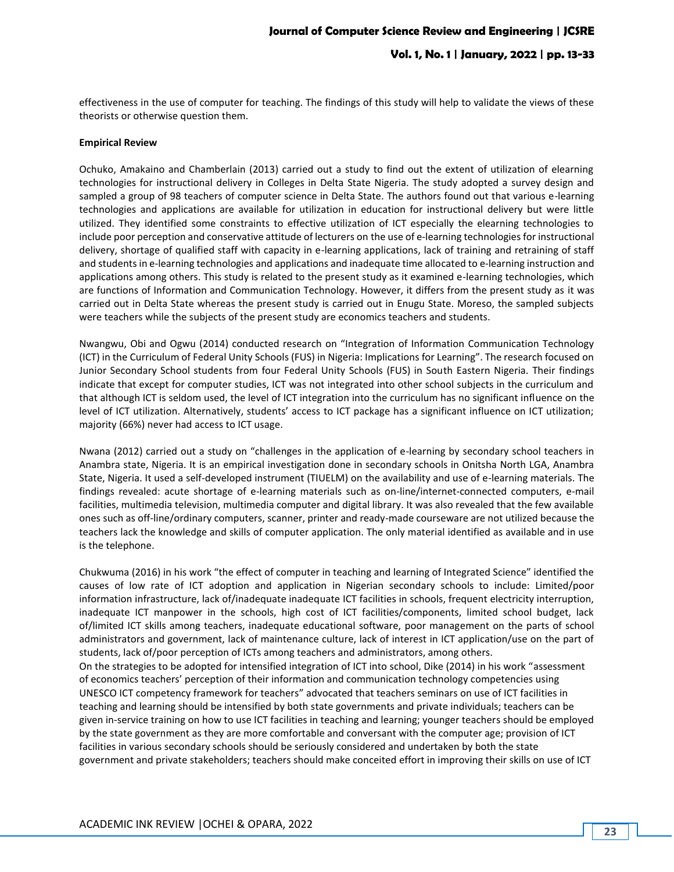effectiveness in the use of computer for teaching. The findings of this study will help to validate the views of these theorists or otherwise question them.

#### **Empirical Review**

Ochuko, Amakaino and Chamberlain (2013) carried out a study to find out the extent of utilization of elearning technologies for instructional delivery in Colleges in Delta State Nigeria. The study adopted a survey design and sampled a group of 98 teachers of computer science in Delta State. The authors found out that various e-learning technologies and applications are available for utilization in education for instructional delivery but were little utilized. They identified some constraints to effective utilization of ICT especially the elearning technologies to include poor perception and conservative attitude of lecturers on the use of e-learning technologies for instructional delivery, shortage of qualified staff with capacity in e-learning applications, lack of training and retraining of staff and students in e-learning technologies and applications and inadequate time allocated to e-learning instruction and applications among others. This study is related to the present study as it examined e-learning technologies, which are functions of Information and Communication Technology. However, it differs from the present study as it was carried out in Delta State whereas the present study is carried out in Enugu State. Moreso, the sampled subjects were teachers while the subjects of the present study are economics teachers and students.

Nwangwu, Obi and Ogwu (2014) conducted research on "Integration of Information Communication Technology (ICT) in the Curriculum of Federal Unity Schools (FUS) in Nigeria: Implications for Learning". The research focused on Junior Secondary School students from four Federal Unity Schools (FUS) in South Eastern Nigeria. Their findings indicate that except for computer studies, ICT was not integrated into other school subjects in the curriculum and that although ICT is seldom used, the level of ICT integration into the curriculum has no significant influence on the level of ICT utilization. Alternatively, students' access to ICT package has a significant influence on ICT utilization; majority (66%) never had access to ICT usage.

Nwana (2012) carried out a study on "challenges in the application of e-learning by secondary school teachers in Anambra state, Nigeria. It is an empirical investigation done in secondary schools in Onitsha North LGA, Anambra State, Nigeria. It used a self-developed instrument (TIUELM) on the availability and use of e-learning materials. The findings revealed: acute shortage of e-learning materials such as on-line/internet-connected computers, e-mail facilities, multimedia television, multimedia computer and digital library. It was also revealed that the few available ones such as off-line/ordinary computers, scanner, printer and ready-made courseware are not utilized because the teachers lack the knowledge and skills of computer application. The only material identified as available and in use is the telephone.

Chukwuma (2016) in his work "the effect of computer in teaching and learning of Integrated Science" identified the causes of low rate of ICT adoption and application in Nigerian secondary schools to include: Limited/poor information infrastructure, lack of/inadequate inadequate ICT facilities in schools, frequent electricity interruption, inadequate ICT manpower in the schools, high cost of ICT facilities/components, limited school budget, lack of/limited ICT skills among teachers, inadequate educational software, poor management on the parts of school administrators and government, lack of maintenance culture, lack of interest in ICT application/use on the part of students, lack of/poor perception of ICTs among teachers and administrators, among others. On the strategies to be adopted for intensified integration of ICT into school, Dike (2014) in his work "assessment of economics teachers' perception of their information and communication technology competencies using UNESCO ICT competency framework for teachers" advocated that teachers seminars on use of ICT facilities in teaching and learning should be intensified by both state governments and private individuals; teachers can be given in-service training on how to use ICT facilities in teaching and learning; younger teachers should be employed by the state government as they are more comfortable and conversant with the computer age; provision of ICT facilities in various secondary schools should be seriously considered and undertaken by both the state government and private stakeholders; teachers should make conceited effort in improving their skills on use of ICT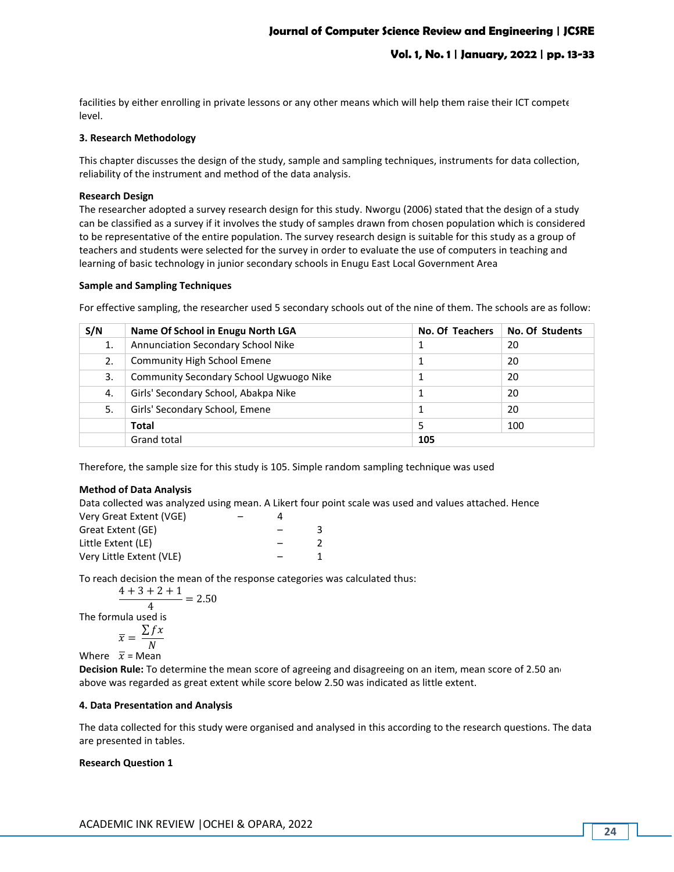facilities by either enrolling in private lessons or any other means which will help them raise their ICT compete level.

### **3. Research Methodology**

This chapter discusses the design of the study, sample and sampling techniques, instruments for data collection, reliability of the instrument and method of the data analysis.

#### **Research Design**

The researcher adopted a survey research design for this study. Nworgu (2006) stated that the design of a study can be classified as a survey if it involves the study of samples drawn from chosen population which is considered to be representative of the entire population. The survey research design is suitable for this study as a group of teachers and students were selected for the survey in order to evaluate the use of computers in teaching and learning of basic technology in junior secondary schools in Enugu East Local Government Area

#### **Sample and Sampling Techniques**

For effective sampling, the researcher used 5 secondary schools out of the nine of them. The schools are as follow:

| S/N | Name Of School in Enugu North LGA         | No. Of Teachers | No. Of Students |
|-----|-------------------------------------------|-----------------|-----------------|
| 1.  | <b>Annunciation Secondary School Nike</b> |                 | 20              |
| 2.  | <b>Community High School Emene</b>        |                 | 20              |
| 3.  | Community Secondary School Ugwuogo Nike   |                 | 20              |
| 4.  | Girls' Secondary School, Abakpa Nike      |                 | 20              |
| 5.  | Girls' Secondary School, Emene            |                 | 20              |
|     | <b>Total</b>                              |                 | 100             |
|     | <b>Grand total</b>                        | 105             |                 |

Therefore, the sample size for this study is 105. Simple random sampling technique was used

### **Method of Data Analysis**

Data collected was analyzed using mean. A Likert four point scale was used and values attached. Hence

| Very Great Extent (VGE)  |  |  |
|--------------------------|--|--|
| Great Extent (GE)        |  |  |
| Little Extent (LE)       |  |  |
| Very Little Extent (VLE) |  |  |

To reach decision the mean of the response categories was calculated thus:

$$
\frac{4+3+2+1}{4} = 2.50
$$

$$
4
$$
 The formula used is

$$
\overline{x} = \frac{\sum fx}{N}
$$

Where  $\overline{x}$  = Mean

**Decision Rule:** To determine the mean score of agreeing and disagreeing on an item, mean score of 2.50 and above was regarded as great extent while score below 2.50 was indicated as little extent.

### **4. Data Presentation and Analysis**

The data collected for this study were organised and analysed in this according to the research questions. The data are presented in tables.

### **Research Question 1**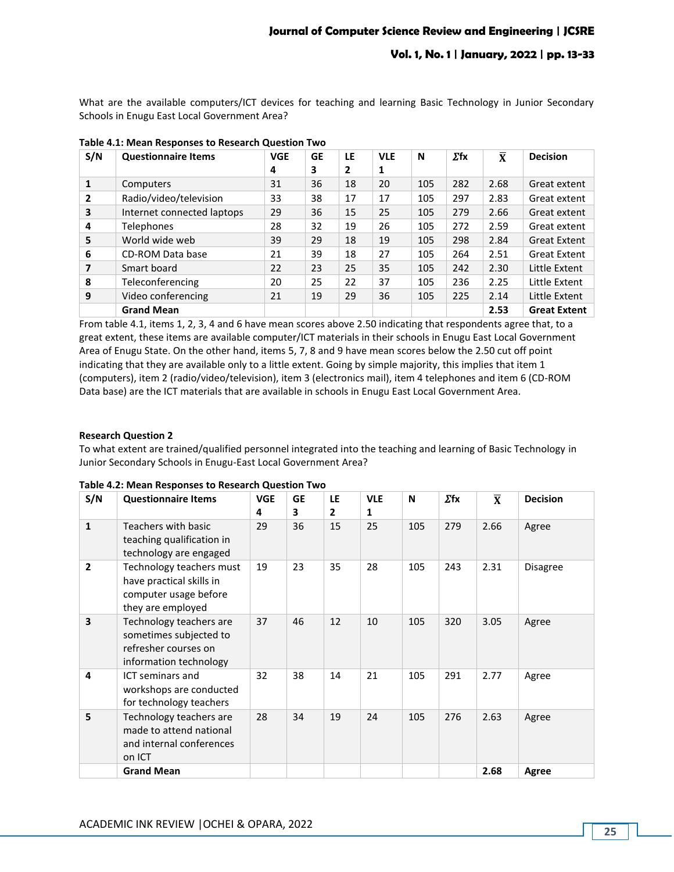What are the available computers/ICT devices for teaching and learning Basic Technology in Junior Secondary Schools in Enugu East Local Government Area?

| S/N          | <b>Questionnaire Items</b> | <b>VGE</b> | GE | LE | <b>VLE</b> | N   | $\Sigma$ fx | $\mathbf x$ | <b>Decision</b>     |
|--------------|----------------------------|------------|----|----|------------|-----|-------------|-------------|---------------------|
|              |                            | 4          | 3  | 2  | 1          |     |             |             |                     |
| $\mathbf{1}$ | Computers                  | 31         | 36 | 18 | 20         | 105 | 282         | 2.68        | Great extent        |
| 2            | Radio/video/television     | 33         | 38 | 17 | 17         | 105 | 297         | 2.83        | Great extent        |
| 3            | Internet connected laptops | 29         | 36 | 15 | 25         | 105 | 279         | 2.66        | Great extent        |
| 4            | <b>Telephones</b>          | 28         | 32 | 19 | 26         | 105 | 272         | 2.59        | Great extent        |
| 5            | World wide web             | 39         | 29 | 18 | 19         | 105 | 298         | 2.84        | <b>Great Extent</b> |
| 6            | CD-ROM Data base           | 21         | 39 | 18 | 27         | 105 | 264         | 2.51        | <b>Great Extent</b> |
| 7            | Smart board                | 22         | 23 | 25 | 35         | 105 | 242         | 2.30        | Little Extent       |
| 8            | Teleconferencing           | 20         | 25 | 22 | 37         | 105 | 236         | 2.25        | Little Extent       |
| 9            | Video conferencing         | 21         | 19 | 29 | 36         | 105 | 225         | 2.14        | Little Extent       |
|              | <b>Grand Mean</b>          |            |    |    |            |     |             | 2.53        | <b>Great Extent</b> |

## **Table 4.1: Mean Responses to Research Question Two**

From table 4.1, items 1, 2, 3, 4 and 6 have mean scores above 2.50 indicating that respondents agree that, to a great extent, these items are available computer/ICT materials in their schools in Enugu East Local Government Area of Enugu State. On the other hand, items 5, 7, 8 and 9 have mean scores below the 2.50 cut off point indicating that they are available only to a little extent. Going by simple majority, this implies that item 1 (computers), item 2 (radio/video/television), item 3 (electronics mail), item 4 telephones and item 6 (CD-ROM Data base) are the ICT materials that are available in schools in Enugu East Local Government Area.

### **Research Question 2**

To what extent are trained/qualified personnel integrated into the teaching and learning of Basic Technology in Junior Secondary Schools in Enugu-East Local Government Area?

| S/N            | <b>Questionnaire Items</b>                                                                          | <b>VGE</b><br>4 | <b>GE</b><br>3 | LE<br>$\mathbf{2}$ | <b>VLE</b><br>1 | N   | $\Sigma$ fx | $\overline{\mathbf{x}}$ | <b>Decision</b> |
|----------------|-----------------------------------------------------------------------------------------------------|-----------------|----------------|--------------------|-----------------|-----|-------------|-------------------------|-----------------|
| $\mathbf 1$    | Teachers with basic<br>teaching qualification in<br>technology are engaged                          | 29              | 36             | 15                 | 25              | 105 | 279         | 2.66                    | Agree           |
| $\overline{2}$ | Technology teachers must<br>have practical skills in<br>computer usage before<br>they are employed  | 19              | 23             | 35                 | 28              | 105 | 243         | 2.31                    | Disagree        |
| 3              | Technology teachers are<br>sometimes subjected to<br>refresher courses on<br>information technology | 37              | 46             | 12                 | 10              | 105 | 320         | 3.05                    | Agree           |
| 4              | <b>ICT</b> seminars and<br>workshops are conducted<br>for technology teachers                       | 32              | 38             | 14                 | 21              | 105 | 291         | 2.77                    | Agree           |
| 5              | Technology teachers are<br>made to attend national<br>and internal conferences<br>on ICT            | 28              | 34             | 19                 | 24              | 105 | 276         | 2.63                    | Agree           |
|                | <b>Grand Mean</b>                                                                                   |                 |                |                    |                 |     |             | 2.68                    | Agree           |

#### **Table 4.2: Mean Responses to Research Question Two**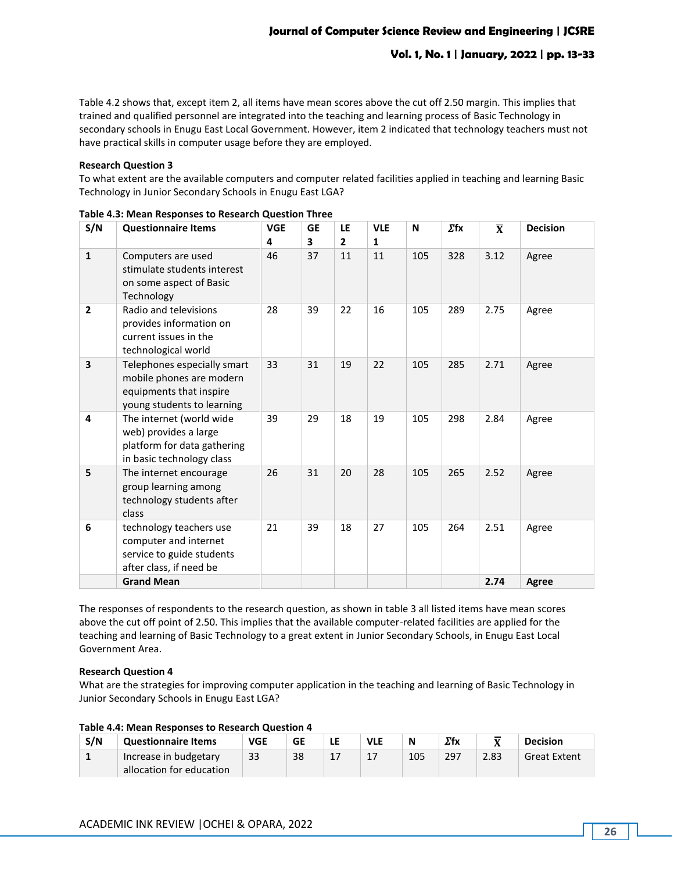Table 4.2 shows that, except item 2, all items have mean scores above the cut off 2.50 margin. This implies that trained and qualified personnel are integrated into the teaching and learning process of Basic Technology in secondary schools in Enugu East Local Government. However, item 2 indicated that technology teachers must not have practical skills in computer usage before they are employed.

#### **Research Question 3**

To what extent are the available computers and computer related facilities applied in teaching and learning Basic Technology in Junior Secondary Schools in Enugu East LGA?

| S/N            | <b>Questionnaire Items</b>                                                                                       | <b>VGE</b><br>4 | <b>GE</b><br>3 | LE<br>$\overline{2}$ | <b>VLE</b><br>1 | N   | $\Sigma$ fx | $\overline{\mathbf{X}}$ | <b>Decision</b> |
|----------------|------------------------------------------------------------------------------------------------------------------|-----------------|----------------|----------------------|-----------------|-----|-------------|-------------------------|-----------------|
| $\mathbf{1}$   | Computers are used<br>stimulate students interest<br>on some aspect of Basic<br>Technology                       | 46              | 37             | 11                   | 11              | 105 | 328         | 3.12                    | Agree           |
| $\overline{2}$ | Radio and televisions<br>provides information on<br>current issues in the<br>technological world                 | 28              | 39             | 22                   | 16              | 105 | 289         | 2.75                    | Agree           |
| 3              | Telephones especially smart<br>mobile phones are modern<br>equipments that inspire<br>young students to learning | 33              | 31             | 19                   | 22              | 105 | 285         | 2.71                    | Agree           |
| 4              | The internet (world wide<br>web) provides a large<br>platform for data gathering<br>in basic technology class    | 39              | 29             | 18                   | 19              | 105 | 298         | 2.84                    | Agree           |
| 5              | The internet encourage<br>group learning among<br>technology students after<br>class                             | 26              | 31             | 20                   | 28              | 105 | 265         | 2.52                    | Agree           |
| 6              | technology teachers use<br>computer and internet<br>service to guide students<br>after class, if need be         | 21              | 39             | 18                   | 27              | 105 | 264         | 2.51                    | Agree           |
|                | <b>Grand Mean</b>                                                                                                |                 |                |                      |                 |     |             | 2.74                    | <b>Agree</b>    |

**Table 4.3: Mean Responses to Research Question Three**

The responses of respondents to the research question, as shown in table 3 all listed items have mean scores above the cut off point of 2.50. This implies that the available computer-related facilities are applied for the teaching and learning of Basic Technology to a great extent in Junior Secondary Schools, in Enugu East Local Government Area.

### **Research Question 4**

What are the strategies for improving computer application in the teaching and learning of Basic Technology in Junior Secondary Schools in Enugu East LGA?

### **Table 4.4: Mean Responses to Research Question 4**

| S/N | <b>Questionnaire Items</b> | <b>VGE</b> | GE | LE | <b>VLE</b> | N   | $\Sigma$ fx | ==   | <b>Decision</b>     |
|-----|----------------------------|------------|----|----|------------|-----|-------------|------|---------------------|
|     | Increase in budgetary      | 33         | 38 | ᅭ  | л.,        | 105 | 297         | 2.83 | <b>Great Extent</b> |
|     | allocation for education   |            |    |    |            |     |             |      |                     |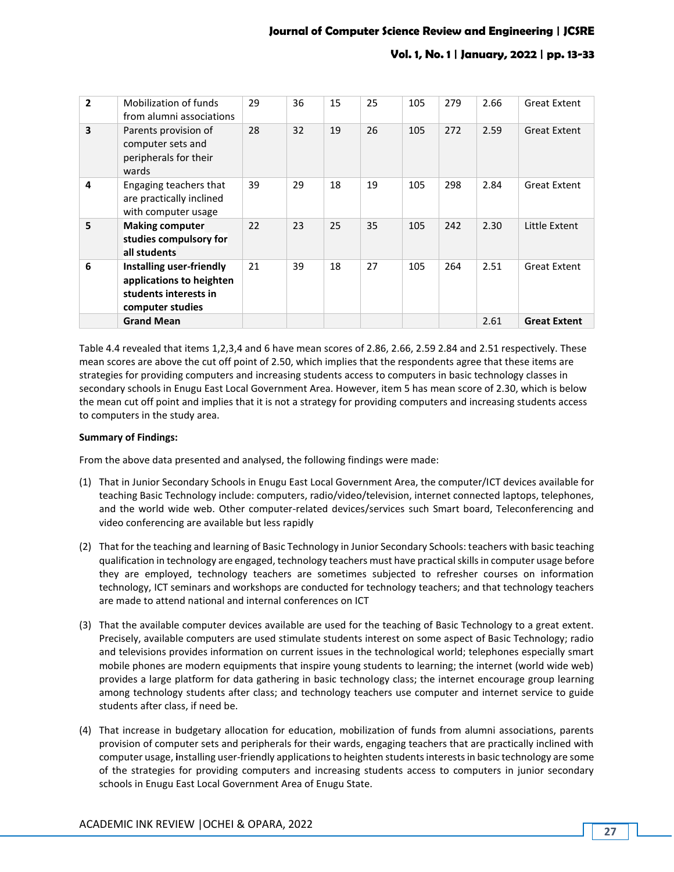| $\overline{2}$          | Mobilization of funds<br>from alumni associations                                                 | 29 | 36 | 15 | 25 | 105 | 279 | 2.66 | <b>Great Extent</b> |
|-------------------------|---------------------------------------------------------------------------------------------------|----|----|----|----|-----|-----|------|---------------------|
| $\overline{\mathbf{3}}$ | Parents provision of<br>computer sets and<br>peripherals for their<br>wards                       | 28 | 32 | 19 | 26 | 105 | 272 | 2.59 | <b>Great Extent</b> |
| 4                       | Engaging teachers that<br>are practically inclined<br>with computer usage                         | 39 | 29 | 18 | 19 | 105 | 298 | 2.84 | <b>Great Extent</b> |
| 5                       | <b>Making computer</b><br>studies compulsory for<br>all students                                  | 22 | 23 | 25 | 35 | 105 | 242 | 2.30 | Little Extent       |
| 6                       | Installing user-friendly<br>applications to heighten<br>students interests in<br>computer studies | 21 | 39 | 18 | 27 | 105 | 264 | 2.51 | <b>Great Extent</b> |
|                         | <b>Grand Mean</b>                                                                                 |    |    |    |    |     |     | 2.61 | <b>Great Extent</b> |

Table 4.4 revealed that items 1,2,3,4 and 6 have mean scores of 2.86, 2.66, 2.59 2.84 and 2.51 respectively. These mean scores are above the cut off point of 2.50, which implies that the respondents agree that these items are strategies for providing computers and increasing students access to computers in basic technology classes in secondary schools in Enugu East Local Government Area. However, item 5 has mean score of 2.30, which is below the mean cut off point and implies that it is not a strategy for providing computers and increasing students access to computers in the study area.

### **Summary of Findings:**

From the above data presented and analysed, the following findings were made:

- (1) That in Junior Secondary Schools in Enugu East Local Government Area, the computer/ICT devices available for teaching Basic Technology include: computers, radio/video/television, internet connected laptops, telephones, and the world wide web. Other computer-related devices/services such Smart board, Teleconferencing and video conferencing are available but less rapidly
- (2) That for the teaching and learning of Basic Technology in Junior Secondary Schools: teachers with basic teaching qualification in technology are engaged, technology teachers must have practical skills in computer usage before they are employed, technology teachers are sometimes subjected to refresher courses on information technology, ICT seminars and workshops are conducted for technology teachers; and that technology teachers are made to attend national and internal conferences on ICT
- (3) That the available computer devices available are used for the teaching of Basic Technology to a great extent. Precisely, available computers are used stimulate students interest on some aspect of Basic Technology; radio and televisions provides information on current issues in the technological world; telephones especially smart mobile phones are modern equipments that inspire young students to learning; the internet (world wide web) provides a large platform for data gathering in basic technology class; the internet encourage group learning among technology students after class; and technology teachers use computer and internet service to guide students after class, if need be.
- (4) That increase in budgetary allocation for education, mobilization of funds from alumni associations, parents provision of computer sets and peripherals for their wards, engaging teachers that are practically inclined with computer usage, **i**nstalling user-friendly applications to heighten students interests in basic technology are some of the strategies for providing computers and increasing students access to computers in junior secondary schools in Enugu East Local Government Area of Enugu State.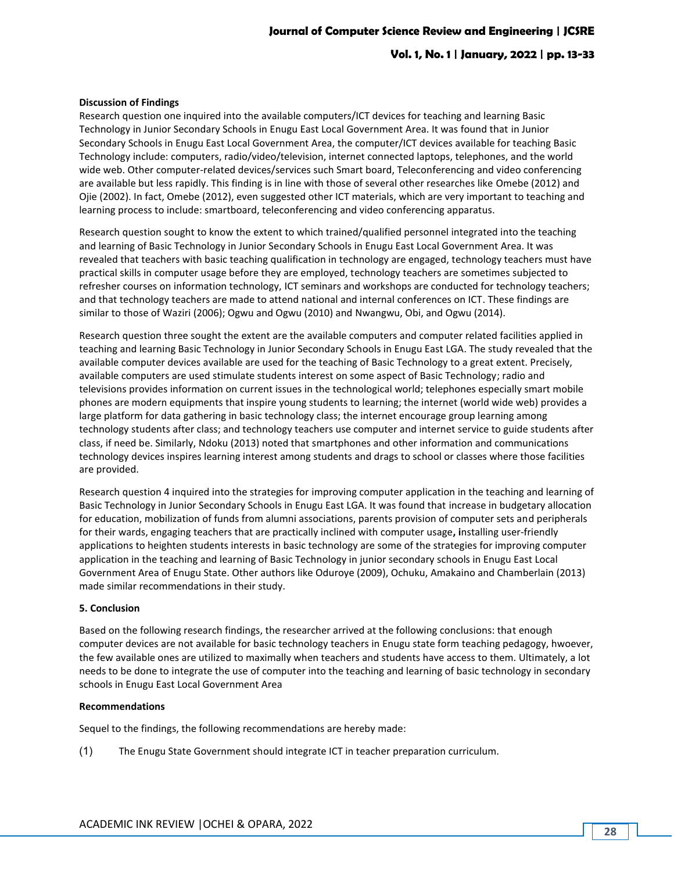### **Vol. 1, No. 1 | January, 2022 | pp. 13-33**

#### **Discussion of Findings**

Research question one inquired into the available computers/ICT devices for teaching and learning Basic Technology in Junior Secondary Schools in Enugu East Local Government Area. It was found that in Junior Secondary Schools in Enugu East Local Government Area, the computer/ICT devices available for teaching Basic Technology include: computers, radio/video/television, internet connected laptops, telephones, and the world wide web. Other computer-related devices/services such Smart board, Teleconferencing and video conferencing are available but less rapidly. This finding is in line with those of several other researches like Omebe (2012) and Ojie (2002). In fact, Omebe (2012), even suggested other ICT materials, which are very important to teaching and learning process to include: smartboard, teleconferencing and video conferencing apparatus.

Research question sought to know the extent to which trained/qualified personnel integrated into the teaching and learning of Basic Technology in Junior Secondary Schools in Enugu East Local Government Area. It was revealed that teachers with basic teaching qualification in technology are engaged, technology teachers must have practical skills in computer usage before they are employed, technology teachers are sometimes subjected to refresher courses on information technology, ICT seminars and workshops are conducted for technology teachers; and that technology teachers are made to attend national and internal conferences on ICT. These findings are similar to those of Waziri (2006); Ogwu and Ogwu (2010) and Nwangwu, Obi, and Ogwu (2014).

Research question three sought the extent are the available computers and computer related facilities applied in teaching and learning Basic Technology in Junior Secondary Schools in Enugu East LGA. The study revealed that the available computer devices available are used for the teaching of Basic Technology to a great extent. Precisely, available computers are used stimulate students interest on some aspect of Basic Technology; radio and televisions provides information on current issues in the technological world; telephones especially smart mobile phones are modern equipments that inspire young students to learning; the internet (world wide web) provides a large platform for data gathering in basic technology class; the internet encourage group learning among technology students after class; and technology teachers use computer and internet service to guide students after class, if need be. Similarly, Ndoku (2013) noted that smartphones and other information and communications technology devices inspires learning interest among students and drags to school or classes where those facilities are provided.

Research question 4 inquired into the strategies for improving computer application in the teaching and learning of Basic Technology in Junior Secondary Schools in Enugu East LGA. It was found that increase in budgetary allocation for education, mobilization of funds from alumni associations, parents provision of computer sets and peripherals for their wards, engaging teachers that are practically inclined with computer usage**, i**nstalling user-friendly applications to heighten students interests in basic technology are some of the strategies for improving computer application in the teaching and learning of Basic Technology in junior secondary schools in Enugu East Local Government Area of Enugu State. Other authors like Oduroye (2009), Ochuku, Amakaino and Chamberlain (2013) made similar recommendations in their study.

#### **5. Conclusion**

Based on the following research findings, the researcher arrived at the following conclusions: that enough computer devices are not available for basic technology teachers in Enugu state form teaching pedagogy, hwoever, the few available ones are utilized to maximally when teachers and students have access to them. Ultimately, a lot needs to be done to integrate the use of computer into the teaching and learning of basic technology in secondary schools in Enugu East Local Government Area

#### **Recommendations**

Sequel to the findings, the following recommendations are hereby made:

(1) The Enugu State Government should integrate ICT in teacher preparation curriculum.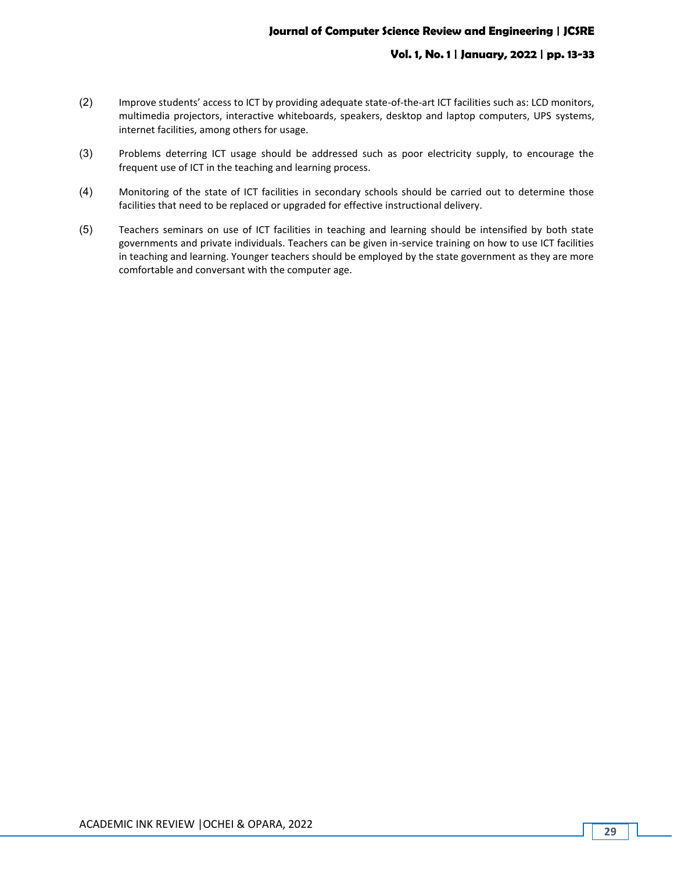# **Vol. 1, No. 1 | January, 2022 | pp. 13-33**

- (2) Improve students' access to ICT by providing adequate state-of-the-art ICT facilities such as: LCD monitors, multimedia projectors, interactive whiteboards, speakers, desktop and laptop computers, UPS systems, internet facilities, among others for usage.
- (3) Problems deterring ICT usage should be addressed such as poor electricity supply, to encourage the frequent use of ICT in the teaching and learning process.
- (4) Monitoring of the state of ICT facilities in secondary schools should be carried out to determine those facilities that need to be replaced or upgraded for effective instructional delivery.
- (5) Teachers seminars on use of ICT facilities in teaching and learning should be intensified by both state governments and private individuals. Teachers can be given in-service training on how to use ICT facilities in teaching and learning. Younger teachers should be employed by the state government as they are more comfortable and conversant with the computer age.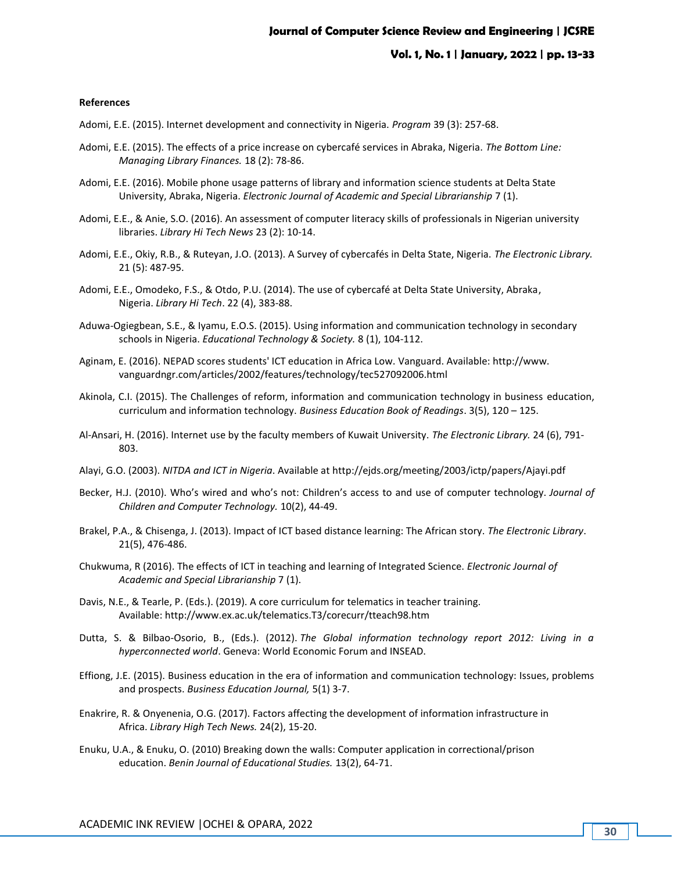#### **References**

Adomi, E.E. (2015). Internet development and connectivity in Nigeria. *Program* 39 (3): 257-68.

- Adomi, E.E. (2015). The effects of a price increase on cybercafé services in Abraka, Nigeria. *The Bottom Line: Managing Library Finances.* 18 (2): 78-86.
- Adomi, E.E. (2016). Mobile phone usage patterns of library and information science students at Delta State University, Abraka, Nigeria. *Electronic Journal of Academic and Special Librarianship* 7 (1).
- Adomi, E.E., & Anie, S.O. (2016). An assessment of computer literacy skills of professionals in Nigerian university libraries. *Library Hi Tech News* 23 (2): 10-14.
- Adomi, E.E., Okiy, R.B., & Ruteyan, J.O. (2013). A Survey of cybercafés in Delta State, Nigeria. *The Electronic Library.* 21 (5): 487-95.
- Adomi, E.E., Omodeko, F.S., & Otdo, P.U. (2014). The use of cybercafé at Delta State University, Abraka, Nigeria. *Library Hi Tech*. 22 (4), 383-88.
- Aduwa-Ogiegbean, S.E., & Iyamu, E.O.S. (2015). Using information and communication technology in secondary schools in Nigeria. *Educational Technology & Society.* 8 (1), 104-112.
- Aginam, E. (2016). NEPAD scores students' ICT education in Africa Low. Vanguard. Available: http://www. vanguardngr.com/articles/2002/features/technology/tec527092006.html
- Akinola, C.I. (2015). The Challenges of reform, information and communication technology in business education, curriculum and information technology. *Business Education Book of Readings*. 3(5), 120 – 125.
- Al-Ansari, H. (2016). Internet use by the faculty members of Kuwait University. *The Electronic Library.* 24 (6), 791- 803.
- Alayi, G.O. (2003). *NITDA and ICT in Nigeria*. Available at http://ejds.org/meeting/2003/ictp/papers/Ajayi.pdf
- Becker, H.J. (2010). Who's wired and who's not: Children's access to and use of computer technology. *Journal of Children and Computer Technology.* 10(2), 44-49.
- Brakel, P.A., & Chisenga, J. (2013). Impact of ICT based distance learning: The African story. *The Electronic Library*. 21(5), 476-486.
- Chukwuma, R (2016). The effects of ICT in teaching and learning of Integrated Science. *Electronic Journal of Academic and Special Librarianship* 7 (1).
- Davis, N.E., & Tearle, P. (Eds.). (2019). A core curriculum for telematics in teacher training. Available: <http://www.ex.ac.uk/telematics.T3/corecurr/tteach98.htm>
- Dutta, S. & Bilbao-Osorio, B., (Eds.). (2012). *The Global information technology report 2012: Living in a hyperconnected world*. Geneva: World Economic Forum and INSEAD.
- Effiong, J.E. (2015). Business education in the era of information and communication technology: Issues, problems and prospects. *Business Education Journal,* 5(1) 3-7.
- Enakrire, R. & Onyenenia, O.G. (2017). Factors affecting the development of information infrastructure in Africa. *Library High Tech News.* 24(2), 15-20.
- Enuku, U.A., & Enuku, O. (2010) Breaking down the walls: Computer application in correctional/prison education. *Benin Journal of Educational Studies.* 13(2), 64-71.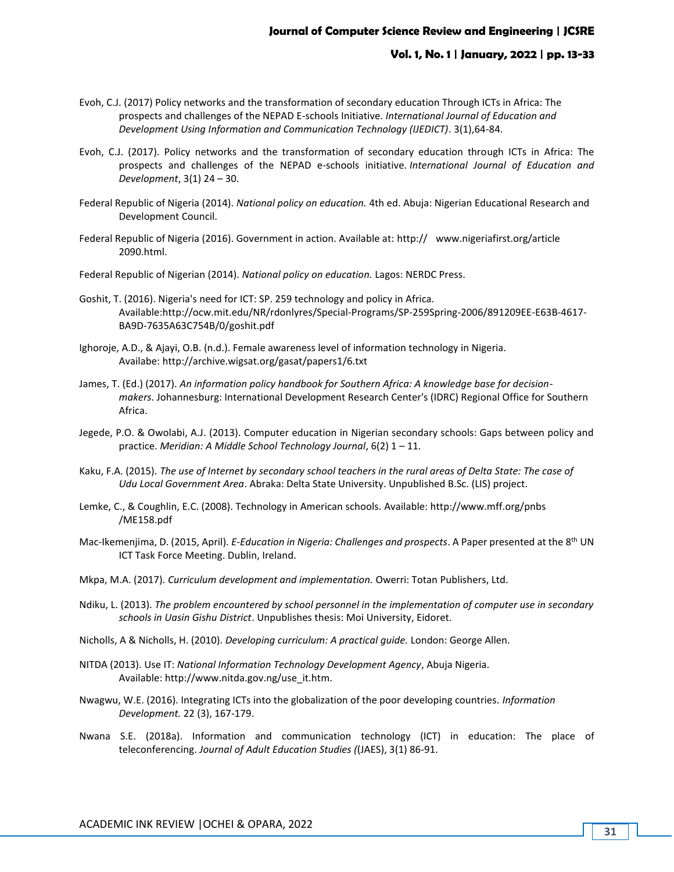### **Vol. 1, No. 1 | January, 2022 | pp. 13-33**

- Evoh, C.J. (2017) Policy networks and the transformation of secondary education Through ICTs in Africa: The prospects and challenges of the NEPAD E-schools Initiative. *International Journal of Education and Development Using Information and Communication Technology (IJEDICT)*. 3(1),64-84.
- Evoh, C.J. (2017). Policy networks and the transformation of secondary education through ICTs in Africa: The prospects and challenges of the NEPAD e-schools initiative. *International Journal of Education and Development*, 3(1) 24 – 30.
- Federal Republic of Nigeria (2014). *National policy on education.* 4th ed. Abuja: Nigerian Educational Research and Development Council.
- Federal Republic of Nigeria (2016). Government in action. Available at: http:// www.nigeriafirst.org/article 2090.html.
- Federal Republic of Nigerian (2014). *National policy on education.* Lagos: NERDC Press.
- Goshit, T. (2016). Nigeria's need for ICT: SP. 259 technology and policy in Africa. Availabl[e:http://ocw.mit.edu/NR/rdonlyres/Special-Programs/SP-259Spring-2006/891209EE-E63B-4617-](http://ocw.mit.edu/NR/rdonlyres/Special-Programs/SP-259Spring-2006/891209EE-E63B-4617-BA9D-7635A63C754B/0/goshit.pdf) [BA9D-7635A63C754B/0/goshit.pdf](http://ocw.mit.edu/NR/rdonlyres/Special-Programs/SP-259Spring-2006/891209EE-E63B-4617-BA9D-7635A63C754B/0/goshit.pdf)
- Ighoroje, A.D., & Ajayi, O.B. (n.d.). Female awareness level of information technology in Nigeria. Availabe: <http://archive.wigsat.org/gasat/papers1/6.txt>
- James, T. (Ed.) (2017). *An information policy handbook for Southern Africa: A knowledge base for decisionmakers*. Johannesburg: International Development Research Center's (IDRC) Regional Office for Southern Africa.
- Jegede, P.O. & Owolabi, A.J. (2013). Computer education in Nigerian secondary schools: Gaps between policy and practice. *Meridian: A Middle School Technology Journal*, 6(2) 1 – 11.
- Kaku, F.A. (2015). *The use of Internet by secondary school teachers in the rural areas of Delta State: The case of Udu Local Government Area*. Abraka: Delta State University. Unpublished B.Sc. (LIS) project.
- Lemke, C., & Coughlin, E.C. (2008). Technology in American schools. Available: http://www.mff.org/pnbs /ME158.pdf
- Mac-Ikemenjima, D. (2015, April). *E-Education in Nigeria: Challenges and prospects*. A Paper presented at the 8<sup>th</sup> UN ICT Task Force Meeting. Dublin, Ireland.
- Mkpa, M.A. (2017). *Curriculum development and implementation.* Owerri: Totan Publishers, Ltd.
- Ndiku, L. (2013). *The problem encountered by school personnel in the implementation of computer use in secondary schools in Uasin Gishu District*. Unpublishes thesis: Moi University, Eidoret.
- Nicholls, A & Nicholls, H. (2010). *Developing curriculum: A practical guide.* London: George Allen.
- NITDA (2013). Use IT: *National Information Technology Development Agency*, Abuja Nigeria. Available: [http://www.nitda.gov.ng/use\\_it.htm.](http://www.nitda.gov.ng/use_it.htm)
- Nwagwu, W.E. (2016). Integrating ICTs into the globalization of the poor developing countries. *Information Development.* 22 (3), 167-179.
- Nwana S.E. (2018a). Information and communication technology (ICT) in education: The place of teleconferencing. *Journal of Adult Education Studies (*(JAES), 3(1) 86-91.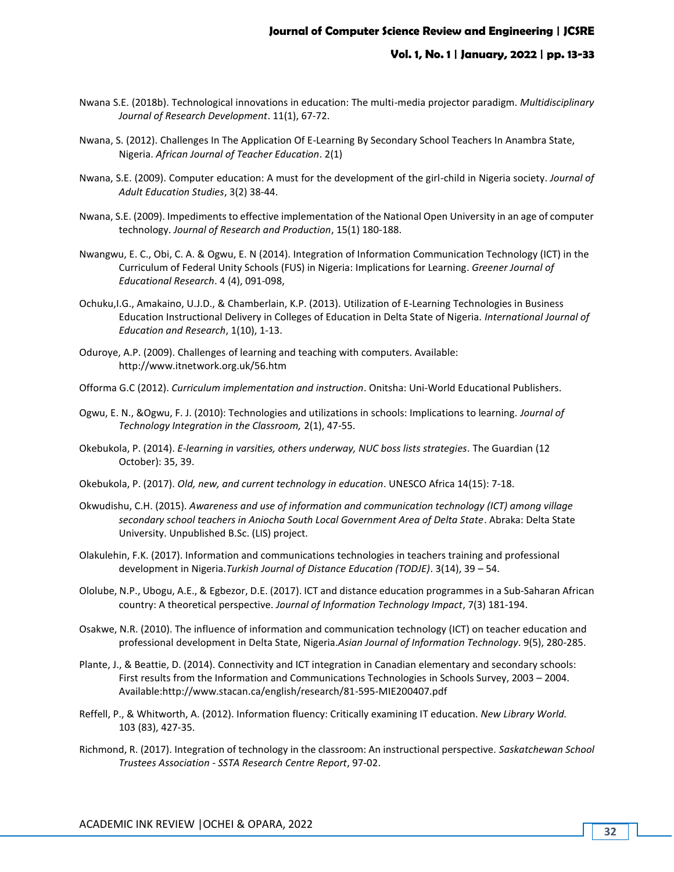- Nwana S.E. (2018b). Technological innovations in education: The multi-media projector paradigm. *Multidisciplinary Journal of Research Development*. 11(1), 67-72.
- Nwana, S. (2012). Challenges In The Application Of E-Learning By Secondary School Teachers In Anambra State, Nigeria. *African Journal of Teacher Education*. 2(1)
- Nwana, S.E. (2009). Computer education: A must for the development of the girl-child in Nigeria society. *Journal of Adult Education Studies*, 3(2) 38-44.
- Nwana, S.E. (2009). Impediments to effective implementation of the National Open University in an age of computer technology. *Journal of Research and Production*, 15(1) 180-188.
- Nwangwu, E. C., Obi, C. A. & Ogwu, E. N (2014). Integration of Information Communication Technology (ICT) in the Curriculum of Federal Unity Schools (FUS) in Nigeria: Implications for Learning. *Greener Journal of Educational Research*. 4 (4), 091-098,
- Ochuku,I.G., Amakaino, U.J.D., & Chamberlain, K.P. (2013). Utilization of E-Learning Technologies in Business Education Instructional Delivery in Colleges of Education in Delta State of Nigeria. *International Journal of Education and Research*, 1(10), 1-13.
- Oduroye, A.P. (2009). Challenges of learning and teaching with computers. Available: <http://www.itnetwork.org.uk/56.htm>
- Offorma G.C (2012). *Curriculum implementation and instruction*. Onitsha: Uni-World Educational Publishers.
- Ogwu, E. N., &Ogwu, F. J. (2010): Technologies and utilizations in schools: Implications to learning. *Journal of Technology Integration in the Classroom,* 2(1), 47-55.
- Okebukola, P. (2014). *E-learning in varsities, others underway, NUC boss lists strategies*. The Guardian (12 October): 35, 39.
- Okebukola, P. (2017). *Old, new, and current technology in education*. UNESCO Africa 14(15): 7-18.
- Okwudishu, C.H. (2015). *Awareness and use of information and communication technology (ICT) among village secondary school teachers in Aniocha South Local Government Area of Delta State*. Abraka: Delta State University. Unpublished B.Sc. (LIS) project.
- Olakulehin, F.K. (2017). Information and communications technologies in teachers training and professional development in Nigeria.*Turkish Journal of Distance Education (TODJE)*. 3(14), 39 – 54.
- Ololube, N.P., Ubogu, A.E., & Egbezor, D.E. (2017). ICT and distance education programmes in a Sub-Saharan African country: A theoretical perspective. *Journal of Information Technology Impact*, 7(3) 181-194.
- Osakwe, N.R. (2010). The influence of information and communication technology (ICT) on teacher education and professional development in Delta State, Nigeria.*Asian Journal of Information Technology*. 9(5), 280-285.
- Plante, J., & Beattie, D. (2014). Connectivity and ICT integration in Canadian elementary and secondary schools: First results from the Information and Communications Technologies in Schools Survey, 2003 – 2004. Availabl[e:http://www.stacan.ca/english/research/81-595-MIE200407.pdf](http://www.stacan.ca/english/research/81-595-MIE200407.pdf)
- Reffell, P., & Whitworth, A. (2012). Information fluency: Critically examining IT education. *New Library World.* 103 (83), 427-35.
- Richmond, R. (2017). Integration of technology in the classroom: An instructional perspective*. Saskatchewan School Trustees Association - SSTA Research Centre Report*, 97-02.